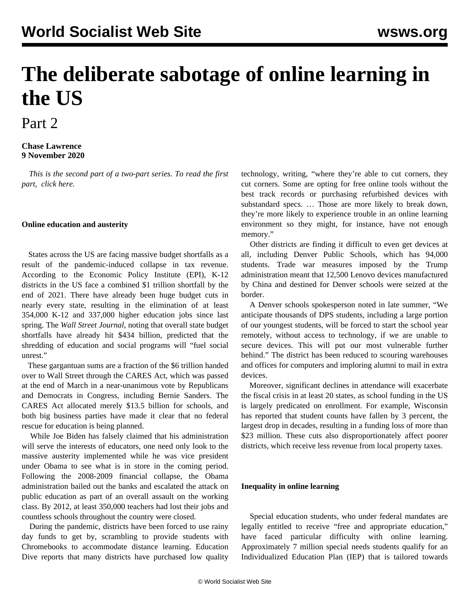# **The deliberate sabotage of online learning in the US**

## Part 2

#### **Chase Lawrence 9 November 2020**

 *This is the second part of a two-part series. To read the first part, [click here.](/en/articles/2020/11/09/onli-n09.html)*

#### **Online education and austerity**

 States across the US are facing [massive budget shortfalls](/en/articles/2020/11/04/scho-n04.html) as a result of the pandemic-induced collapse in tax revenue. According to the Economic Policy Institute (EPI), K-12 districts in the US face a combined \$1 trillion shortfall by the end of 2021. There have already been huge budget cuts in nearly every state, resulting in the elimination of at least 354,000 K-12 and 337,000 higher education jobs since last spring. The *Wall Street Journal,* noting that overall state budget shortfalls have already hit \$434 billion, predicted that the shredding of education and social programs will "fuel social unrest."

 These gargantuan sums are a fraction of the \$6 trillion handed over to Wall Street through the CARES Act, which was passed at the end of March in a near-unanimous vote by Republicans and Democrats in Congress, including Bernie Sanders. The CARES Act allocated merely \$13.5 billion for schools, and both big business parties have made it clear that no federal rescue for education is being planned.

 While Joe Biden has falsely claimed that his administration will serve the interests of educators, one need only look to the massive austerity implemented while he was vice president under Obama to see what is in store in the coming period. Following the 2008-2009 financial collapse, the Obama administration bailed out the banks and escalated the attack on public education as part of an overall assault on the working class. By 2012, at least 350,000 teachers had lost their jobs and countless schools throughout the country were closed.

 During the pandemic, districts have been forced to use rainy day funds to get by, scrambling to provide students with Chromebooks to accommodate distance learning. Education Dive reports that many districts have purchased low quality technology, writing, "where they're able to cut corners, they cut corners. Some are opting for free online tools without the best track records or purchasing refurbished devices with substandard specs. … Those are more likely to break down, they're more likely to experience trouble in an online learning environment so they might, for instance, have not enough memory."

 Other districts are finding it difficult to even get devices at all, including Denver Public Schools, which has 94,000 students. Trade war measures imposed by the Trump administration meant that 12,500 Lenovo devices manufactured by China and destined for Denver schools were seized at the border.

 A Denver schools spokesperson noted in late summer, "We anticipate thousands of DPS students, including a large portion of our youngest students, will be forced to start the school year remotely, without access to technology, if we are unable to secure devices. This will put our most vulnerable further behind." The district has been reduced to scouring warehouses and offices for computers and imploring alumni to mail in extra devices.

 Moreover, significant declines in attendance will exacerbate the fiscal crisis in at least 20 states, as school funding in the US is largely predicated on enrollment. For example, Wisconsin has reported that student counts have fallen by 3 percent, the largest drop in decades, resulting in a funding loss of more than \$23 million. These cuts also disproportionately affect poorer districts, which receive less revenue from local property taxes.

#### **Inequality in online learning**

 Special education students, who under federal mandates are legally entitled to receive "free and appropriate education," have faced particular difficulty with online learning. Approximately 7 million special needs students qualify for an Individualized Education Plan (IEP) that is tailored towards